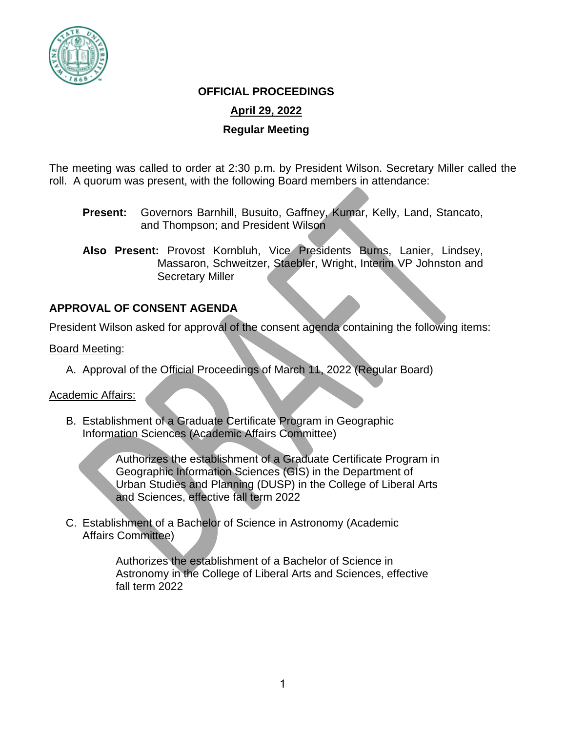

### **OFFICIAL PROCEEDINGS**

# **April 29, 2022**

#### **Regular Meeting**

The meeting was called to order at 2:30 p.m. by President Wilson. Secretary Miller called the roll. A quorum was present, with the following Board members in attendance:

- **Present:** Governors Barnhill, Busuito, Gaffney, Kumar, Kelly, Land, Stancato, and Thompson; and President Wilson
- **Also Present:** Provost Kornbluh, Vice Presidents Burns, Lanier, Lindsey, Massaron, Schweitzer, Staebler, Wright, Interim VP Johnston and Secretary Miller

# **APPROVAL OF CONSENT AGENDA**

President Wilson asked for approval of the consent agenda containing the following items:

#### Board Meeting:

A. Approval of the Official Proceedings of March 11, 2022 (Regular Board)

#### Academic Affairs:

B. Establishment of a Graduate Certificate Program in Geographic Information Sciences (Academic Affairs Committee)

> Authorizes the establishment of a Graduate Certificate Program in Geographic Information Sciences (GIS) in the Department of Urban Studies and Planning (DUSP) in the College of Liberal Arts and Sciences, effective fall term 2022

C. Establishment of a Bachelor of Science in Astronomy (Academic Affairs Committee)

> Authorizes the establishment of a Bachelor of Science in Astronomy in the College of Liberal Arts and Sciences, effective fall term 2022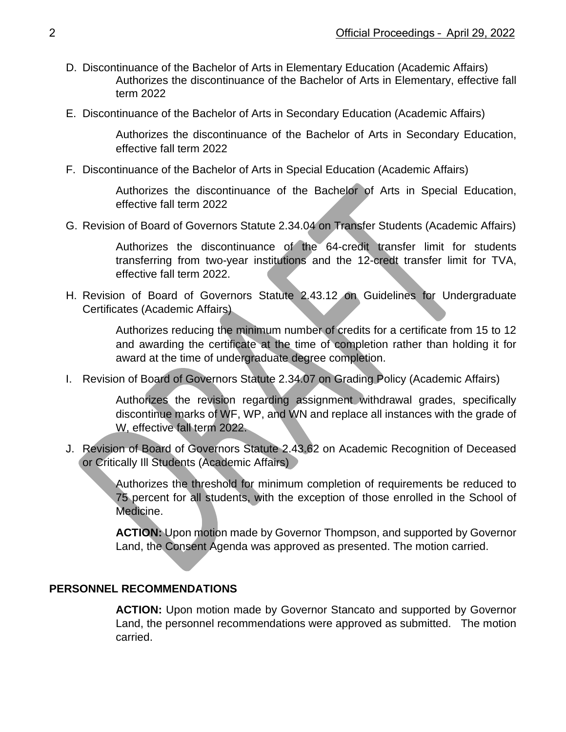- D. Discontinuance of the Bachelor of Arts in Elementary Education (Academic Affairs) Authorizes the discontinuance of the Bachelor of Arts in Elementary, effective fall term 2022
- E. Discontinuance of the Bachelor of Arts in Secondary Education (Academic Affairs)

Authorizes the discontinuance of the Bachelor of Arts in Secondary Education, effective fall term 2022

F. Discontinuance of the Bachelor of Arts in Special Education (Academic Affairs)

Authorizes the discontinuance of the Bachelor of Arts in Special Education, effective fall term 2022

G. Revision of Board of Governors Statute 2.34.04 on Transfer Students (Academic Affairs)

Authorizes the discontinuance of the 64-credit transfer limit for students transferring from two-year institutions and the 12-credt transfer limit for TVA, effective fall term 2022.

H. Revision of Board of Governors Statute 2.43.12 on Guidelines for Undergraduate Certificates (Academic Affairs)

> Authorizes reducing the minimum number of credits for a certificate from 15 to 12 and awarding the certificate at the time of completion rather than holding it for award at the time of undergraduate degree completion.

I. Revision of Board of Governors Statute 2.34.07 on Grading Policy (Academic Affairs)

Authorizes the revision regarding assignment withdrawal grades, specifically discontinue marks of WF, WP, and WN and replace all instances with the grade of W, effective fall term 2022.

J. Revision of Board of Governors Statute 2.43.62 on Academic Recognition of Deceased or Critically Ill Students (Academic Affairs)

> Authorizes the threshold for minimum completion of requirements be reduced to 75 percent for all students, with the exception of those enrolled in the School of Medicine.

> **ACTION:** Upon motion made by Governor Thompson, and supported by Governor Land, the Consent Agenda was approved as presented. The motion carried.

# **PERSONNEL RECOMMENDATIONS**

**ACTION:** Upon motion made by Governor Stancato and supported by Governor Land, the personnel recommendations were approved as submitted. The motion carried.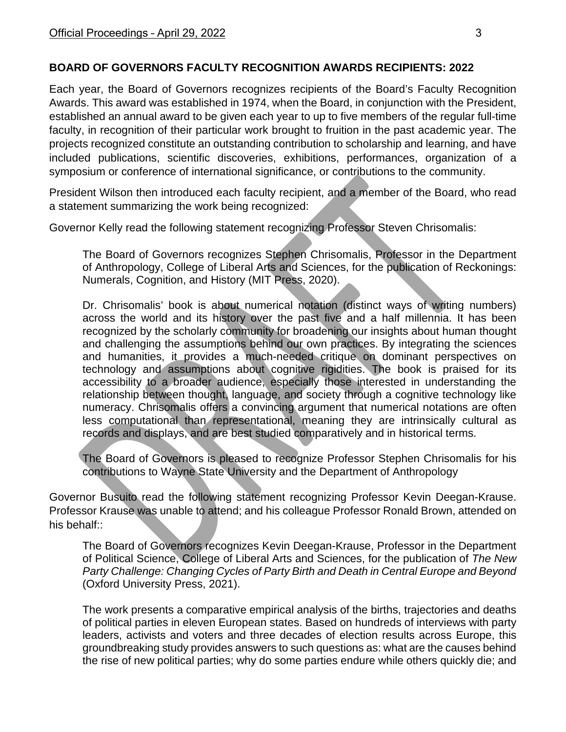# **BOARD OF GOVERNORS FACULTY RECOGNITION AWARDS RECIPIENTS: 2022**

Each year, the Board of Governors recognizes recipients of the Board's Faculty Recognition Awards. This award was established in 1974, when the Board, in conjunction with the President, established an annual award to be given each year to up to five members of the regular full-time faculty, in recognition of their particular work brought to fruition in the past academic year. The projects recognized constitute an outstanding contribution to scholarship and learning, and have included publications, scientific discoveries, exhibitions, performances, organization of a symposium or conference of international significance, or contributions to the community.

President Wilson then introduced each faculty recipient, and a member of the Board, who read a statement summarizing the work being recognized:

Governor Kelly read the following statement recognizing Professor Steven Chrisomalis:

The Board of Governors recognizes Stephen Chrisomalis, Professor in the Department of Anthropology, College of Liberal Arts and Sciences, for the publication of Reckonings: Numerals, Cognition, and History (MIT Press, 2020).

Dr. Chrisomalis' book is about numerical notation (distinct ways of writing numbers) across the world and its history over the past five and a half millennia. It has been recognized by the scholarly community for broadening our insights about human thought and challenging the assumptions behind our own practices. By integrating the sciences and humanities, it provides a much-needed critique on dominant perspectives on technology and assumptions about cognitive rigidities. The book is praised for its accessibility to a broader audience, especially those interested in understanding the relationship between thought, language, and society through a cognitive technology like numeracy. Chrisomalis offers a convincing argument that numerical notations are often less computational than representational, meaning they are intrinsically cultural as records and displays, and are best studied comparatively and in historical terms.

The Board of Governors is pleased to recognize Professor Stephen Chrisomalis for his contributions to Wayne State University and the Department of Anthropology

Governor Busuito read the following statement recognizing Professor Kevin Deegan-Krause. Professor Krause was unable to attend; and his colleague Professor Ronald Brown, attended on his behalf::

The Board of Governors recognizes Kevin Deegan-Krause, Professor in the Department of Political Science, College of Liberal Arts and Sciences, for the publication of *The New Party Challenge: Changing Cycles of Party Birth and Death in Central Europe and Beyond*  (Oxford University Press, 2021).

The work presents a comparative empirical analysis of the births, trajectories and deaths of political parties in eleven European states. Based on hundreds of interviews with party leaders, activists and voters and three decades of election results across Europe, this groundbreaking study provides answers to such questions as: what are the causes behind the rise of new political parties; why do some parties endure while others quickly die; and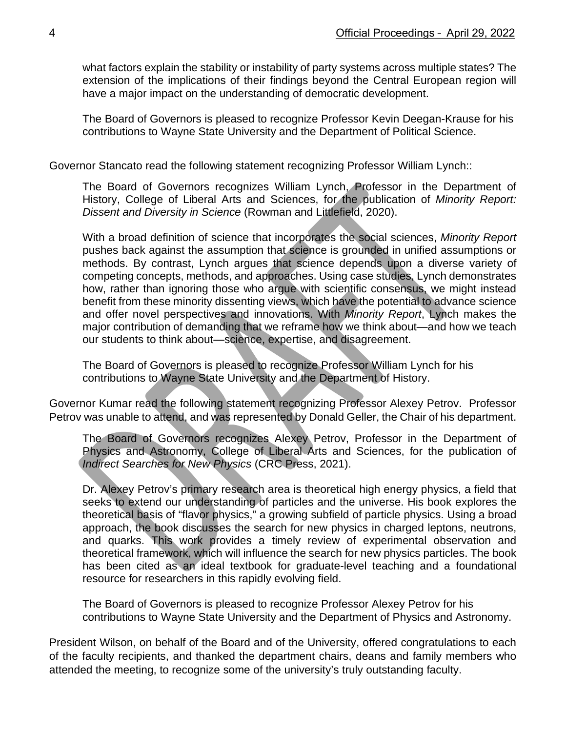what factors explain the stability or instability of party systems across multiple states? The extension of the implications of their findings beyond the Central European region will have a major impact on the understanding of democratic development.

The Board of Governors is pleased to recognize Professor Kevin Deegan-Krause for his contributions to Wayne State University and the Department of Political Science.

Governor Stancato read the following statement recognizing Professor William Lynch::

The Board of Governors recognizes William Lynch, Professor in the Department of History, College of Liberal Arts and Sciences, for the publication of *Minority Report: Dissent and Diversity in Science* (Rowman and Littlefield, 2020).

With a broad definition of science that incorporates the social sciences, *Minority Report* pushes back against the assumption that science is grounded in unified assumptions or methods. By contrast, Lynch argues that science depends upon a diverse variety of competing concepts, methods, and approaches. Using case studies, Lynch demonstrates how, rather than ignoring those who argue with scientific consensus, we might instead benefit from these minority dissenting views, which have the potential to advance science and offer novel perspectives and innovations. With *Minority Report*, Lynch makes the major contribution of demanding that we reframe how we think about—and how we teach our students to think about—science, expertise, and disagreement.

The Board of Governors is pleased to recognize Professor William Lynch for his contributions to Wayne State University and the Department of History.

Governor Kumar read the following statement recognizing Professor Alexey Petrov. Professor Petrov was unable to attend, and was represented by Donald Geller, the Chair of his department.

The Board of Governors recognizes Alexey Petrov, Professor in the Department of Physics and Astronomy, College of Liberal Arts and Sciences, for the publication of *Indirect Searches for New Physics* (CRC Press, 2021).

Dr. Alexey Petrov's primary research area is theoretical high energy physics, a field that seeks to extend our understanding of particles and the universe. His book explores the theoretical basis of "flavor physics," a growing subfield of particle physics. Using a broad approach, the book discusses the search for new physics in charged leptons, neutrons, and quarks. This work provides a timely review of experimental observation and theoretical framework, which will influence the search for new physics particles. The book has been cited as an ideal textbook for graduate-level teaching and a foundational resource for researchers in this rapidly evolving field.

The Board of Governors is pleased to recognize Professor Alexey Petrov for his contributions to Wayne State University and the Department of Physics and Astronomy.

President Wilson, on behalf of the Board and of the University, offered congratulations to each of the faculty recipients, and thanked the department chairs, deans and family members who attended the meeting, to recognize some of the university's truly outstanding faculty.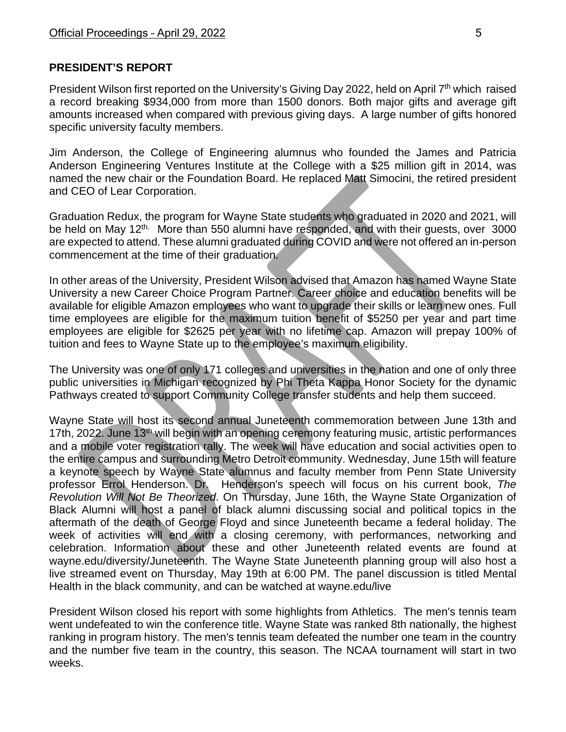### **PRESIDENT'S REPORT**

President Wilson first reported on the University's Giving Day 2022, held on April  $7<sup>th</sup>$  which raised a record breaking \$934,000 from more than 1500 donors. Both major gifts and average gift amounts increased when compared with previous giving days. A large number of gifts honored specific university faculty members.

Jim Anderson, the College of Engineering alumnus who founded the James and Patricia Anderson Engineering Ventures Institute at the College with a \$25 million gift in 2014, was named the new chair or the Foundation Board. He replaced Matt Simocini, the retired president and CEO of Lear Corporation.

Graduation Redux, the program for Wayne State students who graduated in 2020 and 2021, will be held on May 12<sup>th.</sup> More than 550 alumni have responded, and with their quests, over 3000 are expected to attend. These alumni graduated during COVID and were not offered an in-person commencement at the time of their graduation.

In other areas of the University, President Wilson advised that Amazon has named Wayne State University a new Career Choice Program Partner. Career choice and education benefits will be available for eligible Amazon employees who want to upgrade their skills or learn new ones. Full time employees are eligible for the maximum tuition benefit of \$5250 per year and part time employees are eligible for \$2625 per year with no lifetime cap. Amazon will prepay 100% of tuition and fees to Wayne State up to the employee's maximum eligibility.

The University was one of only 171 colleges and universities in the nation and one of only three public universities in Michigan recognized by Phi Theta Kappa Honor Society for the dynamic Pathways created to support Community College transfer students and help them succeed.

Wayne State will host its second annual Juneteenth commemoration between June 13th and 17th, 2022. June 13<sup>th</sup> will begin with an opening ceremony featuring music, artistic performances and a mobile voter registration rally. The week will have education and social activities open to the entire campus and surrounding Metro Detroit community. Wednesday, June 15th will feature a keynote speech by Wayne State alumnus and faculty member from Penn State University professor Errol Henderson. Dr. Henderson's speech will focus on his current book, *The Revolution Will Not Be Theorized*. On Thursday, June 16th, the Wayne State Organization of Black Alumni will host a panel of black alumni discussing social and political topics in the aftermath of the death of George Floyd and since Juneteenth became a federal holiday. The week of activities will end with a closing ceremony, with performances, networking and celebration. Information about these and other Juneteenth related events are found at wayne.edu/diversity/Juneteenth. The Wayne State Juneteenth planning group will also host a live streamed event on Thursday, May 19th at 6:00 PM. The panel discussion is titled Mental Health in the black community, and can be watched at wayne.edu/live

President Wilson closed his report with some highlights from Athletics. The men's tennis team went undefeated to win the conference title. Wayne State was ranked 8th nationally, the highest ranking in program history. The men's tennis team defeated the number one team in the country and the number five team in the country, this season. The NCAA tournament will start in two weeks.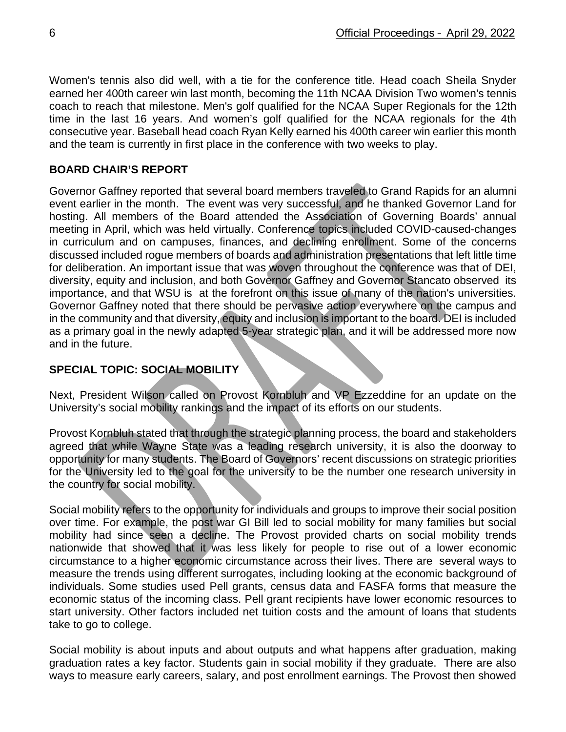Women's tennis also did well, with a tie for the conference title. Head coach Sheila Snyder earned her 400th career win last month, becoming the 11th NCAA Division Two women's tennis coach to reach that milestone. Men's golf qualified for the NCAA Super Regionals for the 12th time in the last 16 years. And women's golf qualified for the NCAA regionals for the 4th consecutive year. Baseball head coach Ryan Kelly earned his 400th career win earlier this month and the team is currently in first place in the conference with two weeks to play.

### **BOARD CHAIR'S REPORT**

Governor Gaffney reported that several board members traveled to Grand Rapids for an alumni event earlier in the month. The event was very successful, and he thanked Governor Land for hosting. All members of the Board attended the Association of Governing Boards' annual meeting in April, which was held virtually. Conference topics included COVID-caused-changes in curriculum and on campuses, finances, and declining enrollment. Some of the concerns discussed included rogue members of boards and administration presentations that left little time for deliberation. An important issue that was woven throughout the conference was that of DEI, diversity, equity and inclusion, and both Governor Gaffney and Governor Stancato observed its importance, and that WSU is at the forefront on this issue of many of the nation's universities. Governor Gaffney noted that there should be pervasive action everywhere on the campus and in the community and that diversity, equity and inclusion is important to the board. DEI is included as a primary goal in the newly adapted 5-year strategic plan, and it will be addressed more now and in the future.

# **SPECIAL TOPIC: SOCIAL MOBILITY**

Next, President Wilson called on Provost Kornbluh and VP Ezzeddine for an update on the University's social mobility rankings and the impact of its efforts on our students.

Provost Kornbluh stated that through the strategic planning process, the board and stakeholders agreed that while Wayne State was a leading research university, it is also the doorway to opportunity for many students. The Board of Governors' recent discussions on strategic priorities for the University led to the goal for the university to be the number one research university in the country for social mobility.

Social mobility refers to the opportunity for individuals and groups to improve their social position over time. For example, the post war GI Bill led to social mobility for many families but social mobility had since seen a decline. The Provost provided charts on social mobility trends nationwide that showed that it was less likely for people to rise out of a lower economic circumstance to a higher economic circumstance across their lives. There are several ways to measure the trends using different surrogates, including looking at the economic background of individuals. Some studies used Pell grants, census data and FASFA forms that measure the economic status of the incoming class. Pell grant recipients have lower economic resources to start university. Other factors included net tuition costs and the amount of loans that students take to go to college.

Social mobility is about inputs and about outputs and what happens after graduation, making graduation rates a key factor. Students gain in social mobility if they graduate. There are also ways to measure early careers, salary, and post enrollment earnings. The Provost then showed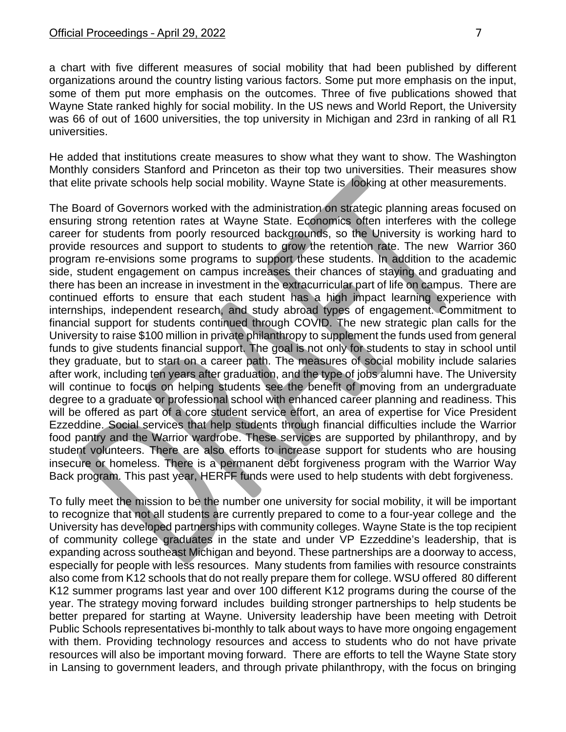a chart with five different measures of social mobility that had been published by different organizations around the country listing various factors. Some put more emphasis on the input, some of them put more emphasis on the outcomes. Three of five publications showed that Wayne State ranked highly for social mobility. In the US news and World Report, the University was 66 of out of 1600 universities, the top university in Michigan and 23rd in ranking of all R1 universities.

He added that institutions create measures to show what they want to show. The Washington Monthly considers Stanford and Princeton as their top two universities. Their measures show that elite private schools help social mobility. Wayne State is looking at other measurements.

The Board of Governors worked with the administration on strategic planning areas focused on ensuring strong retention rates at Wayne State. Economics often interferes with the college career for students from poorly resourced backgrounds, so the University is working hard to provide resources and support to students to grow the retention rate. The new Warrior 360 program re-envisions some programs to support these students. In addition to the academic side, student engagement on campus increases their chances of staying and graduating and there has been an increase in investment in the extracurricular part of life on campus. There are continued efforts to ensure that each student has a high impact learning experience with internships, independent research, and study abroad types of engagement. Commitment to financial support for students continued through COVID. The new strategic plan calls for the University to raise \$100 million in private philanthropy to supplement the funds used from general funds to give students financial support. The goal is not only for students to stay in school until they graduate, but to start on a career path. The measures of social mobility include salaries after work, including ten years after graduation, and the type of jobs alumni have. The University will continue to focus on helping students see the benefit of moving from an undergraduate degree to a graduate or professional school with enhanced career planning and readiness. This will be offered as part of a core student service effort, an area of expertise for Vice President Ezzeddine. Social services that help students through financial difficulties include the Warrior food pantry and the Warrior wardrobe. These services are supported by philanthropy, and by student volunteers. There are also efforts to increase support for students who are housing insecure or homeless. There is a permanent debt forgiveness program with the Warrior Way Back program. This past year, HERFF funds were used to help students with debt forgiveness.

To fully meet the mission to be the number one university for social mobility, it will be important to recognize that not all students are currently prepared to come to a four-year college and the University has developed partnerships with community colleges. Wayne State is the top recipient of community college graduates in the state and under VP Ezzeddine's leadership, that is expanding across southeast Michigan and beyond. These partnerships are a doorway to access, especially for people with less resources. Many students from families with resource constraints also come from K12 schools that do not really prepare them for college. WSU offered 80 different K12 summer programs last year and over 100 different K12 programs during the course of the year. The strategy moving forward includes building stronger partnerships to help students be better prepared for starting at Wayne. University leadership have been meeting with Detroit Public Schools representatives bi-monthly to talk about ways to have more ongoing engagement with them. Providing technology resources and access to students who do not have private resources will also be important moving forward. There are efforts to tell the Wayne State story in Lansing to government leaders, and through private philanthropy, with the focus on bringing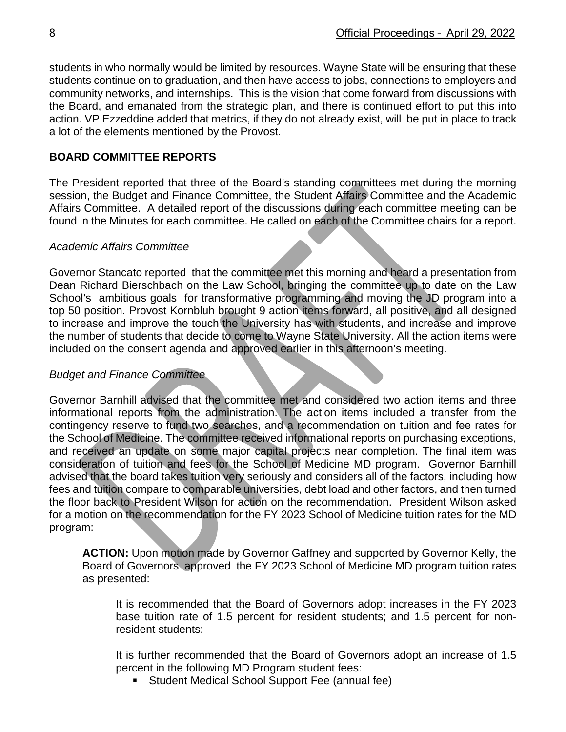students in who normally would be limited by resources. Wayne State will be ensuring that these students continue on to graduation, and then have access to jobs, connections to employers and community networks, and internships. This is the vision that come forward from discussions with the Board, and emanated from the strategic plan, and there is continued effort to put this into action. VP Ezzeddine added that metrics, if they do not already exist, will be put in place to track a lot of the elements mentioned by the Provost.

#### **BOARD COMMITTEE REPORTS**

The President reported that three of the Board's standing committees met during the morning session, the Budget and Finance Committee, the Student Affairs Committee and the Academic Affairs Committee. A detailed report of the discussions during each committee meeting can be found in the Minutes for each committee. He called on each of the Committee chairs for a report.

#### *Academic Affairs Committee*

Governor Stancato reported that the committee met this morning and heard a presentation from Dean Richard Bierschbach on the Law School, bringing the committee up to date on the Law School's ambitious goals for transformative programming and moving the JD program into a top 50 position. Provost Kornbluh brought 9 action items forward, all positive, and all designed to increase and improve the touch the University has with students, and increase and improve the number of students that decide to come to Wayne State University. All the action items were included on the consent agenda and approved earlier in this afternoon's meeting.

#### *Budget and Finance Committee*

Governor Barnhill advised that the committee met and considered two action items and three informational reports from the administration. The action items included a transfer from the contingency reserve to fund two searches, and a recommendation on tuition and fee rates for the School of Medicine. The committee received informational reports on purchasing exceptions, and received an update on some major capital projects near completion. The final item was consideration of tuition and fees for the School of Medicine MD program. Governor Barnhill advised that the board takes tuition very seriously and considers all of the factors, including how fees and tuition compare to comparable universities, debt load and other factors, and then turned the floor back to President Wilson for action on the recommendation. President Wilson asked for a motion on the recommendation for the FY 2023 School of Medicine tuition rates for the MD program:

**ACTION:** Upon motion made by Governor Gaffney and supported by Governor Kelly, the Board of Governors approved the FY 2023 School of Medicine MD program tuition rates as presented:

It is recommended that the Board of Governors adopt increases in the FY 2023 base tuition rate of 1.5 percent for resident students; and 1.5 percent for nonresident students:

It is further recommended that the Board of Governors adopt an increase of 1.5 percent in the following MD Program student fees:

**Student Medical School Support Fee (annual fee)**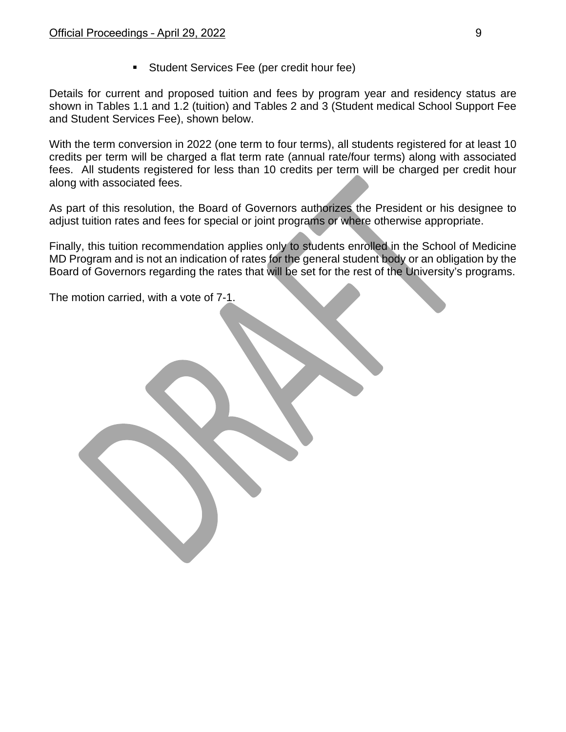Student Services Fee (per credit hour fee)

Details for current and proposed tuition and fees by program year and residency status are shown in Tables 1.1 and 1.2 (tuition) and Tables 2 and 3 (Student medical School Support Fee and Student Services Fee), shown below.

With the term conversion in 2022 (one term to four terms), all students registered for at least 10 credits per term will be charged a flat term rate (annual rate/four terms) along with associated fees. All students registered for less than 10 credits per term will be charged per credit hour along with associated fees.

As part of this resolution, the Board of Governors authorizes the President or his designee to adjust tuition rates and fees for special or joint programs or where otherwise appropriate.

Finally, this tuition recommendation applies only to students enrolled in the School of Medicine MD Program and is not an indication of rates for the general student body or an obligation by the Board of Governors regarding the rates that will be set for the rest of the University's programs.

The motion carried, with a vote of 7-1.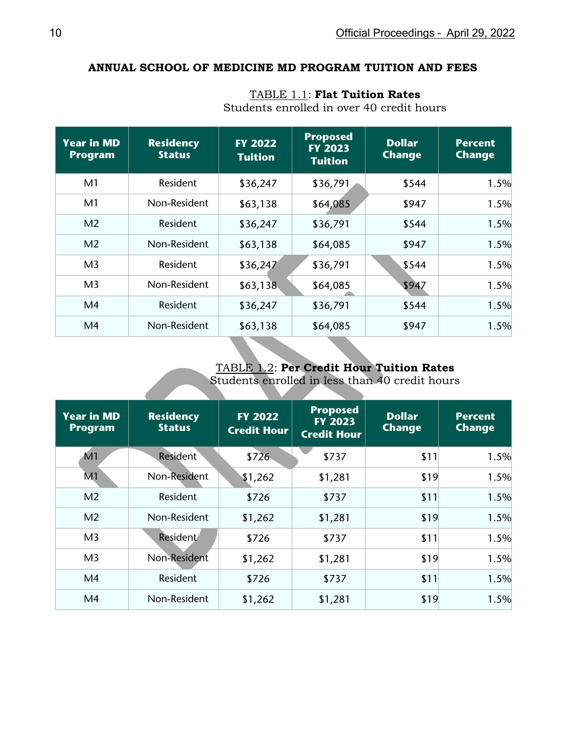#### **ANNUAL SCHOOL OF MEDICINE MD PROGRAM TUITION AND FEES**

| <b>Year in MD</b><br><b>Program</b> | <b>Residency</b><br><b>Status</b> | <b>FY 2022</b><br><b>Tuition</b> | <b>Proposed</b><br><b>FY 2023</b><br><b>Tuition</b> | <b>Dollar</b><br><b>Change</b> | <b>Percent</b><br><b>Change</b> |
|-------------------------------------|-----------------------------------|----------------------------------|-----------------------------------------------------|--------------------------------|---------------------------------|
| M1                                  | Resident                          | \$36,247                         | \$36,791                                            | \$544                          | 1.5%                            |
| M <sub>1</sub>                      | Non-Resident                      | \$63,138                         | \$64,085                                            | \$947                          | 1.5%                            |
| M <sub>2</sub>                      | Resident                          | \$36,247                         | \$36,791                                            | \$544                          | 1.5%                            |
| M <sub>2</sub>                      | Non-Resident                      | \$63,138                         | \$64,085                                            | \$947                          | 1.5%                            |
| M <sub>3</sub>                      | Resident                          | \$36,247                         | \$36,791                                            | \$544                          | 1.5%                            |
| M <sub>3</sub>                      | Non-Resident                      | \$63,138                         | \$64,085                                            | \$947                          | 1.5%                            |
| M <sub>4</sub>                      | Resident                          | \$36,247                         | \$36,791                                            | \$544                          | 1.5%                            |
| M4                                  | Non-Resident                      | \$63,138                         | \$64,085                                            | \$947                          | 1.5%                            |

TABLE 1.1: **Flat Tuition Rates**

Students enrolled in over 40 credit hours

# TABLE 1.2: **Per Credit Hour Tuition Rates**

Students enrolled in less than 40 credit hours

| <b>Year in MD</b><br><b>Program</b> | <b>Residency</b><br><b>Status</b> | <b>FY 2022</b><br><b>Credit Hour</b> | <b>Proposed</b><br><b>FY 2023</b><br><b>Credit Hour</b> | <b>Dollar</b><br><b>Change</b> | <b>Percent</b><br><b>Change</b> |
|-------------------------------------|-----------------------------------|--------------------------------------|---------------------------------------------------------|--------------------------------|---------------------------------|
| M <sub>1</sub>                      | <b>Resident</b>                   | \$726                                | \$737                                                   | \$11                           | 1.5%                            |
| M1                                  | Non-Resident                      | \$1,262                              | \$1,281                                                 | \$19                           | 1.5%                            |
| M <sub>2</sub>                      | Resident                          | \$726                                | \$737                                                   | \$11                           | 1.5%                            |
| M <sub>2</sub>                      | Non-Resident                      | \$1,262                              | \$1,281                                                 | \$19                           | 1.5%                            |
| M <sub>3</sub>                      | <b>Resident</b>                   | \$726                                | \$737                                                   | \$11                           | 1.5%                            |
| M <sub>3</sub>                      | Non-Resident                      | \$1,262                              | \$1,281                                                 | \$19                           | 1.5%                            |
| M <sub>4</sub>                      | Resident                          | \$726                                | \$737                                                   | \$11                           | 1.5%                            |
| M4                                  | Non-Resident                      | \$1,262                              | \$1,281                                                 | \$19                           | 1.5%                            |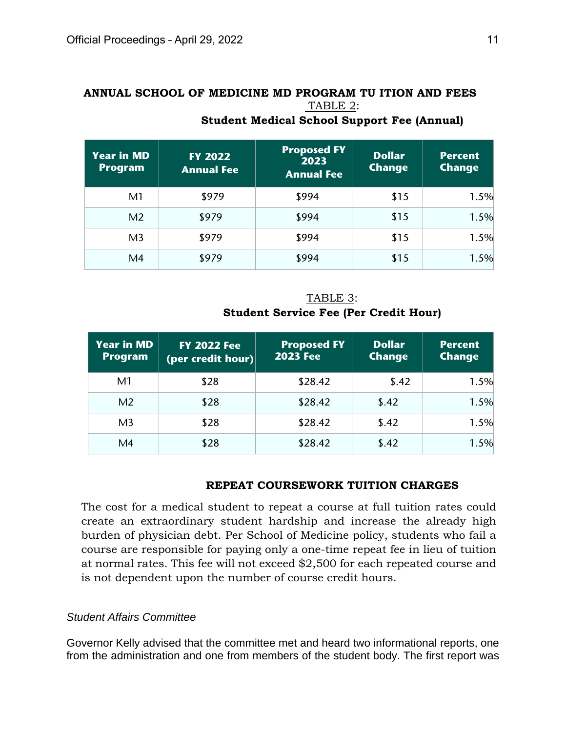# **ANNUAL SCHOOL OF MEDICINE MD PROGRAM TU ITION AND FEES** TABLE 2:

| <b>Year in MD</b><br><b>Program</b> | <b>FY 2022</b><br><b>Annual Fee</b> | <b>Proposed FY</b><br>2023<br><b>Annual Fee</b> | <b>Dollar</b><br><b>Change</b> | <b>Percent</b><br><b>Change</b> |
|-------------------------------------|-------------------------------------|-------------------------------------------------|--------------------------------|---------------------------------|
| M <sub>1</sub>                      | \$979                               | \$994                                           | \$15                           | 1.5%                            |
| M <sub>2</sub>                      | \$979                               | \$994                                           | \$15                           | 1.5%                            |
| M <sub>3</sub>                      | \$979                               | \$994                                           | \$15                           | 1.5%                            |
| M4                                  | \$979                               | \$994                                           | \$15                           | 1.5%                            |

# **Student Medical School Support Fee (Annual)**

TABLE 3: **Student Service Fee (Per Credit Hour)**

| <b>Year in MD</b><br><b>Program</b> | <b>FY 2022 Fee</b><br>$\vert$ (per credit hour) $\vert\vert$ | <b>Proposed FY</b><br><b>2023 Fee</b> | <b>Dollar</b><br><b>Change</b> | <b>Percent</b><br><b>Change</b> |
|-------------------------------------|--------------------------------------------------------------|---------------------------------------|--------------------------------|---------------------------------|
| M <sub>1</sub>                      | \$28                                                         | \$28.42                               | \$.42                          | 1.5%                            |
| M <sub>2</sub>                      | \$28                                                         | \$28.42                               | \$.42                          | 1.5%                            |
| M <sub>3</sub>                      | \$28                                                         | \$28.42                               | \$.42                          | 1.5%                            |
| M4                                  | \$28                                                         | \$28.42                               | \$.42                          | 1.5%                            |

# **REPEAT COURSEWORK TUITION CHARGES**

The cost for a medical student to repeat a course at full tuition rates could create an extraordinary student hardship and increase the already high burden of physician debt. Per School of Medicine policy, students who fail a course are responsible for paying only a one-time repeat fee in lieu of tuition at normal rates. This fee will not exceed \$2,500 for each repeated course and is not dependent upon the number of course credit hours.

#### *Student Affairs Committee*

Governor Kelly advised that the committee met and heard two informational reports, one from the administration and one from members of the student body. The first report was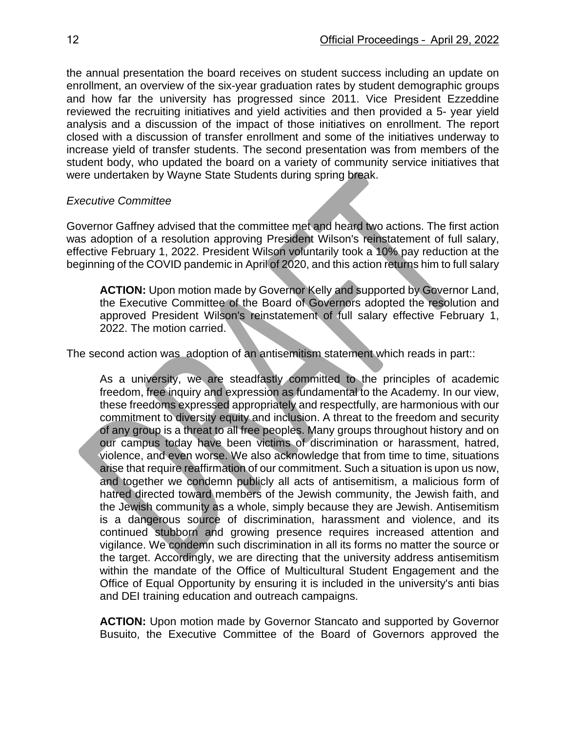the annual presentation the board receives on student success including an update on enrollment, an overview of the six-year graduation rates by student demographic groups and how far the university has progressed since 2011. Vice President Ezzeddine reviewed the recruiting initiatives and yield activities and then provided a 5- year yield analysis and a discussion of the impact of those initiatives on enrollment. The report closed with a discussion of transfer enrollment and some of the initiatives underway to increase yield of transfer students. The second presentation was from members of the student body, who updated the board on a variety of community service initiatives that were undertaken by Wayne State Students during spring break.

#### *Executive Committee*

Governor Gaffney advised that the committee met and heard two actions. The first action was adoption of a resolution approving President Wilson's reinstatement of full salary, effective February 1, 2022. President Wilson voluntarily took a 10% pay reduction at the beginning of the COVID pandemic in April of 2020, and this action returns him to full salary

**ACTION:** Upon motion made by Governor Kelly and supported by Governor Land, the Executive Committee of the Board of Governors adopted the resolution and approved President Wilson's reinstatement of full salary effective February 1, 2022. The motion carried.

The second action was adoption of an antisemitism statement which reads in part::

As a university, we are steadfastly committed to the principles of academic freedom, free inquiry and expression as fundamental to the Academy. In our view, these freedoms expressed appropriately and respectfully, are harmonious with our commitment to diversity equity and inclusion. A threat to the freedom and security of any group is a threat to all free peoples. Many groups throughout history and on our campus today have been victims of discrimination or harassment, hatred, violence, and even worse. We also acknowledge that from time to time, situations arise that require reaffirmation of our commitment. Such a situation is upon us now, and together we condemn publicly all acts of antisemitism, a malicious form of hatred directed toward members of the Jewish community, the Jewish faith, and the Jewish community as a whole, simply because they are Jewish. Antisemitism is a dangerous source of discrimination, harassment and violence, and its continued stubborn and growing presence requires increased attention and vigilance. We condemn such discrimination in all its forms no matter the source or the target. Accordingly, we are directing that the university address antisemitism within the mandate of the Office of Multicultural Student Engagement and the Office of Equal Opportunity by ensuring it is included in the university's anti bias and DEI training education and outreach campaigns.

**ACTION:** Upon motion made by Governor Stancato and supported by Governor Busuito, the Executive Committee of the Board of Governors approved the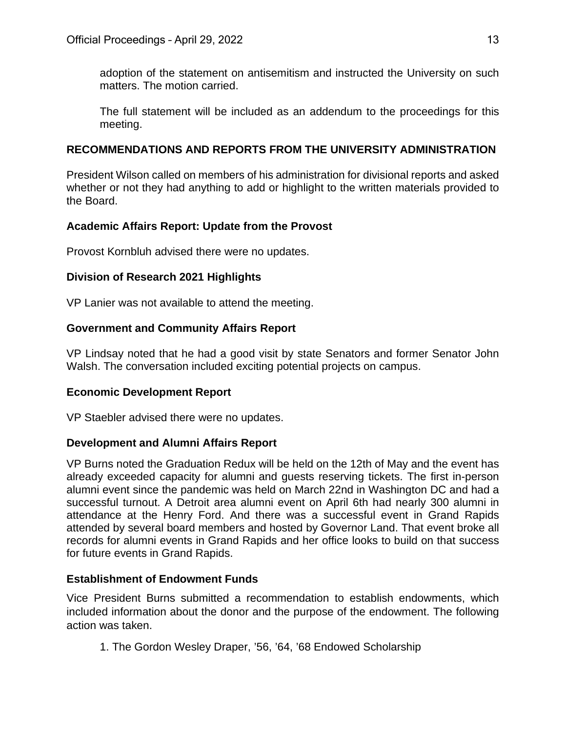adoption of the statement on antisemitism and instructed the University on such matters. The motion carried.

The full statement will be included as an addendum to the proceedings for this meeting.

### **RECOMMENDATIONS AND REPORTS FROM THE UNIVERSITY ADMINISTRATION**

President Wilson called on members of his administration for divisional reports and asked whether or not they had anything to add or highlight to the written materials provided to the Board.

# **Academic Affairs Report: Update from the Provost**

Provost Kornbluh advised there were no updates.

### **Division of Research 2021 Highlights**

VP Lanier was not available to attend the meeting.

# **Government and Community Affairs Report**

VP Lindsay noted that he had a good visit by state Senators and former Senator John Walsh. The conversation included exciting potential projects on campus.

# **Economic Development Report**

VP Staebler advised there were no updates.

#### **Development and Alumni Affairs Report**

VP Burns noted the Graduation Redux will be held on the 12th of May and the event has already exceeded capacity for alumni and guests reserving tickets. The first in-person alumni event since the pandemic was held on March 22nd in Washington DC and had a successful turnout. A Detroit area alumni event on April 6th had nearly 300 alumni in attendance at the Henry Ford. And there was a successful event in Grand Rapids attended by several board members and hosted by Governor Land. That event broke all records for alumni events in Grand Rapids and her office looks to build on that success for future events in Grand Rapids.

# **Establishment of Endowment Funds**

Vice President Burns submitted a recommendation to establish endowments, which included information about the donor and the purpose of the endowment. The following action was taken.

1. The Gordon Wesley Draper, '56, '64, '68 Endowed Scholarship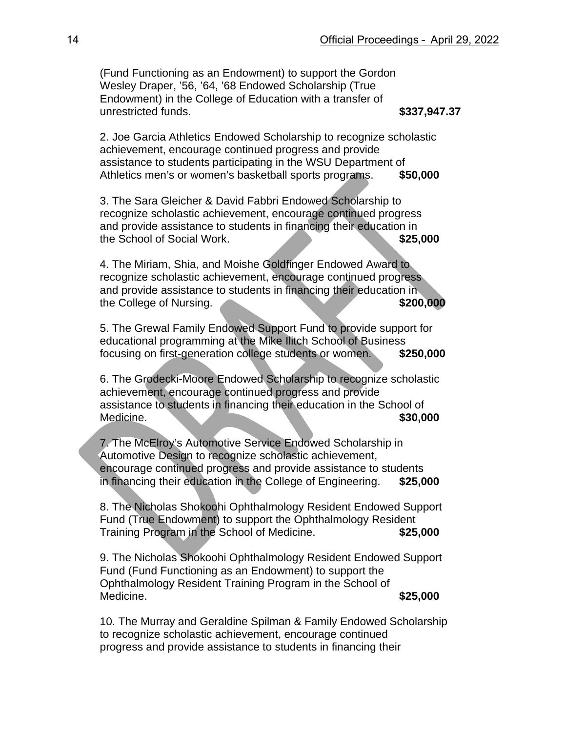(Fund Functioning as an Endowment) to support the Gordon Wesley Draper, '56, '64, '68 Endowed Scholarship (True Endowment) in the College of Education with a transfer of unrestricted funds. **\$337,947.37**

2. Joe Garcia Athletics Endowed Scholarship to recognize scholastic achievement, encourage continued progress and provide assistance to students participating in the WSU Department of Athletics men's or women's basketball sports programs. **\$50,000**

3. The Sara Gleicher & David Fabbri Endowed Scholarship to recognize scholastic achievement, encourage continued progress and provide assistance to students in financing their education in the School of Social Work. **\$25,000**

4. The Miriam, Shia, and Moishe Goldfinger Endowed Award to recognize scholastic achievement, encourage continued progress and provide assistance to students in financing their education in the College of Nursing. **\$200,000 \$200,000** 

5. The Grewal Family Endowed Support Fund to provide support for educational programming at the Mike Ilitch School of Business focusing on first-generation college students or women. **\$250,000**

6. The Grodecki-Moore Endowed Scholarship to recognize scholastic achievement, encourage continued progress and provide assistance to students in financing their education in the School of **Medicine. \$30,000** 

7. The McElroy's Automotive Service Endowed Scholarship in Automotive Design to recognize scholastic achievement, encourage continued progress and provide assistance to students in financing their education in the College of Engineering. **\$25,000**

8. The Nicholas Shokoohi Ophthalmology Resident Endowed Support Fund (True Endowment) to support the Ophthalmology Resident Training Program in the School of Medicine. **\$25,000**

9. The Nicholas Shokoohi Ophthalmology Resident Endowed Support Fund (Fund Functioning as an Endowment) to support the Ophthalmology Resident Training Program in the School of Medicine. **\$25,000**

10. The Murray and Geraldine Spilman & Family Endowed Scholarship to recognize scholastic achievement, encourage continued progress and provide assistance to students in financing their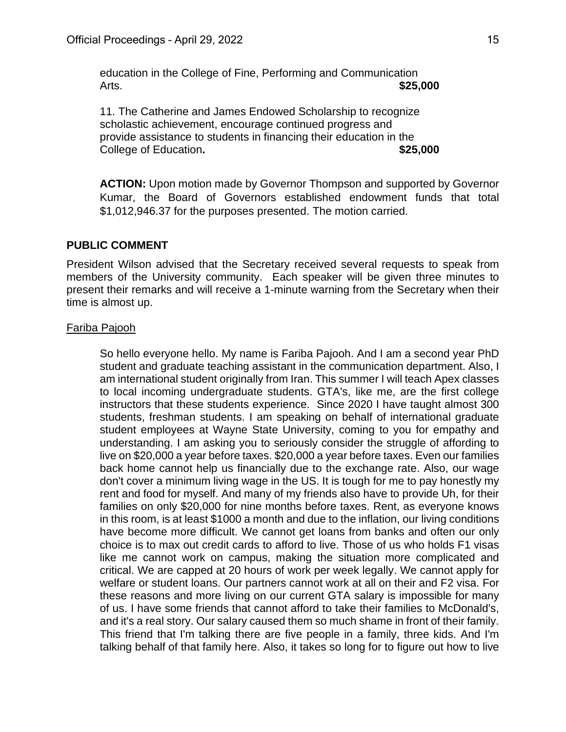education in the College of Fine, Performing and Communication Arts. **\$25,000**

11. The Catherine and James Endowed Scholarship to recognize scholastic achievement, encourage continued progress and provide assistance to students in financing their education in the College of Education.  $$25,000$ 

**ACTION:** Upon motion made by Governor Thompson and supported by Governor Kumar, the Board of Governors established endowment funds that total \$1,012,946.37 for the purposes presented. The motion carried.

#### **PUBLIC COMMENT**

President Wilson advised that the Secretary received several requests to speak from members of the University community. Each speaker will be given three minutes to present their remarks and will receive a 1-minute warning from the Secretary when their time is almost up.

#### Fariba Pajooh

So hello everyone hello. My name is Fariba Pajooh. And I am a second year PhD student and graduate teaching assistant in the communication department. Also, I am international student originally from Iran. This summer I will teach Apex classes to local incoming undergraduate students. GTA's, like me, are the first college instructors that these students experience. Since 2020 I have taught almost 300 students, freshman students. I am speaking on behalf of international graduate student employees at Wayne State University, coming to you for empathy and understanding. I am asking you to seriously consider the struggle of affording to live on \$20,000 a year before taxes. \$20,000 a year before taxes. Even our families back home cannot help us financially due to the exchange rate. Also, our wage don't cover a minimum living wage in the US. It is tough for me to pay honestly my rent and food for myself. And many of my friends also have to provide Uh, for their families on only \$20,000 for nine months before taxes. Rent, as everyone knows in this room, is at least \$1000 a month and due to the inflation, our living conditions have become more difficult. We cannot get loans from banks and often our only choice is to max out credit cards to afford to live. Those of us who holds F1 visas like me cannot work on campus, making the situation more complicated and critical. We are capped at 20 hours of work per week legally. We cannot apply for welfare or student loans. Our partners cannot work at all on their and F2 visa. For these reasons and more living on our current GTA salary is impossible for many of us. I have some friends that cannot afford to take their families to McDonald's, and it's a real story. Our salary caused them so much shame in front of their family. This friend that I'm talking there are five people in a family, three kids. And I'm talking behalf of that family here. Also, it takes so long for to figure out how to live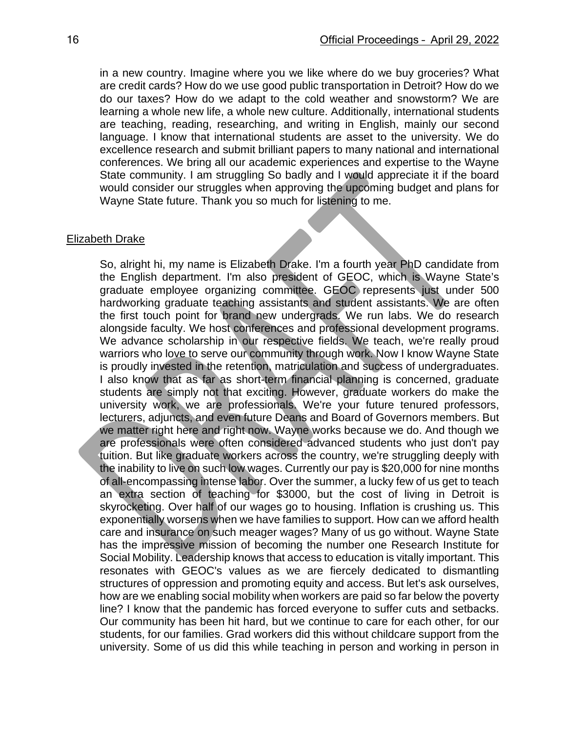in a new country. Imagine where you we like where do we buy groceries? What are credit cards? How do we use good public transportation in Detroit? How do we do our taxes? How do we adapt to the cold weather and snowstorm? We are learning a whole new life, a whole new culture. Additionally, international students are teaching, reading, researching, and writing in English, mainly our second language. I know that international students are asset to the university. We do excellence research and submit brilliant papers to many national and international conferences. We bring all our academic experiences and expertise to the Wayne State community. I am struggling So badly and I would appreciate it if the board would consider our struggles when approving the upcoming budget and plans for Wayne State future. Thank you so much for listening to me.

#### Elizabeth Drake

So, alright hi, my name is Elizabeth Drake. I'm a fourth year PhD candidate from the English department. I'm also president of GEOC, which is Wayne State's graduate employee organizing committee. GEOC represents just under 500 hardworking graduate teaching assistants and student assistants. We are often the first touch point for brand new undergrads. We run labs. We do research alongside faculty. We host conferences and professional development programs. We advance scholarship in our respective fields. We teach, we're really proud warriors who love to serve our community through work. Now I know Wayne State is proudly invested in the retention, matriculation and success of undergraduates. I also know that as far as short-term financial planning is concerned, graduate students are simply not that exciting. However, graduate workers do make the university work, we are professionals. We're your future tenured professors, lecturers, adjuncts, and even future Deans and Board of Governors members. But we matter right here and right now. Wayne works because we do. And though we are professionals were often considered advanced students who just don't pay tuition. But like graduate workers across the country, we're struggling deeply with the inability to live on such low wages. Currently our pay is \$20,000 for nine months of all-encompassing intense labor. Over the summer, a lucky few of us get to teach an extra section of teaching for \$3000, but the cost of living in Detroit is skyrocketing. Over half of our wages go to housing. Inflation is crushing us. This exponentially worsens when we have families to support. How can we afford health care and insurance on such meager wages? Many of us go without. Wayne State has the impressive mission of becoming the number one Research Institute for Social Mobility. Leadership knows that access to education is vitally important. This resonates with GEOC's values as we are fiercely dedicated to dismantling structures of oppression and promoting equity and access. But let's ask ourselves, how are we enabling social mobility when workers are paid so far below the poverty line? I know that the pandemic has forced everyone to suffer cuts and setbacks. Our community has been hit hard, but we continue to care for each other, for our students, for our families. Grad workers did this without childcare support from the university. Some of us did this while teaching in person and working in person in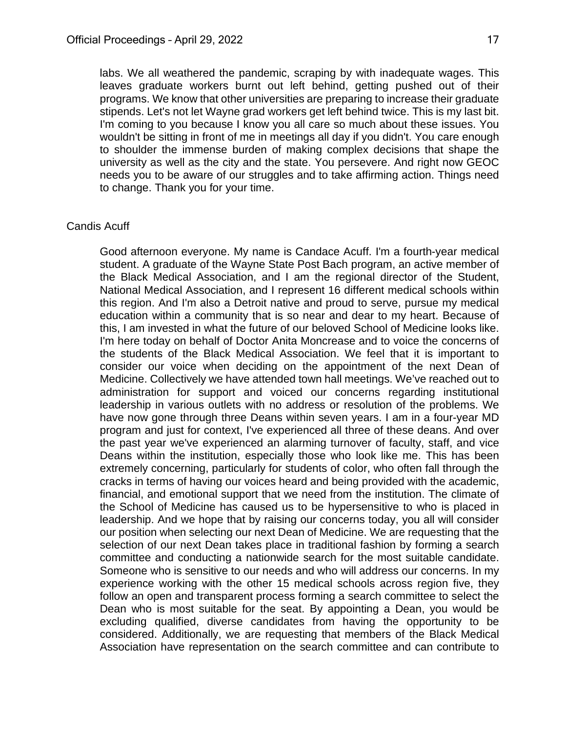labs. We all weathered the pandemic, scraping by with inadequate wages. This leaves graduate workers burnt out left behind, getting pushed out of their programs. We know that other universities are preparing to increase their graduate stipends. Let's not let Wayne grad workers get left behind twice. This is my last bit. I'm coming to you because I know you all care so much about these issues. You wouldn't be sitting in front of me in meetings all day if you didn't. You care enough to shoulder the immense burden of making complex decisions that shape the university as well as the city and the state. You persevere. And right now GEOC needs you to be aware of our struggles and to take affirming action. Things need to change. Thank you for your time.

#### Candis Acuff

Good afternoon everyone. My name is Candace Acuff. I'm a fourth-year medical student. A graduate of the Wayne State Post Bach program, an active member of the Black Medical Association, and I am the regional director of the Student, National Medical Association, and I represent 16 different medical schools within this region. And I'm also a Detroit native and proud to serve, pursue my medical education within a community that is so near and dear to my heart. Because of this, I am invested in what the future of our beloved School of Medicine looks like. I'm here today on behalf of Doctor Anita Moncrease and to voice the concerns of the students of the Black Medical Association. We feel that it is important to consider our voice when deciding on the appointment of the next Dean of Medicine. Collectively we have attended town hall meetings. We've reached out to administration for support and voiced our concerns regarding institutional leadership in various outlets with no address or resolution of the problems. We have now gone through three Deans within seven years. I am in a four-year MD program and just for context, I've experienced all three of these deans. And over the past year we've experienced an alarming turnover of faculty, staff, and vice Deans within the institution, especially those who look like me. This has been extremely concerning, particularly for students of color, who often fall through the cracks in terms of having our voices heard and being provided with the academic, financial, and emotional support that we need from the institution. The climate of the School of Medicine has caused us to be hypersensitive to who is placed in leadership. And we hope that by raising our concerns today, you all will consider our position when selecting our next Dean of Medicine. We are requesting that the selection of our next Dean takes place in traditional fashion by forming a search committee and conducting a nationwide search for the most suitable candidate. Someone who is sensitive to our needs and who will address our concerns. In my experience working with the other 15 medical schools across region five, they follow an open and transparent process forming a search committee to select the Dean who is most suitable for the seat. By appointing a Dean, you would be excluding qualified, diverse candidates from having the opportunity to be considered. Additionally, we are requesting that members of the Black Medical Association have representation on the search committee and can contribute to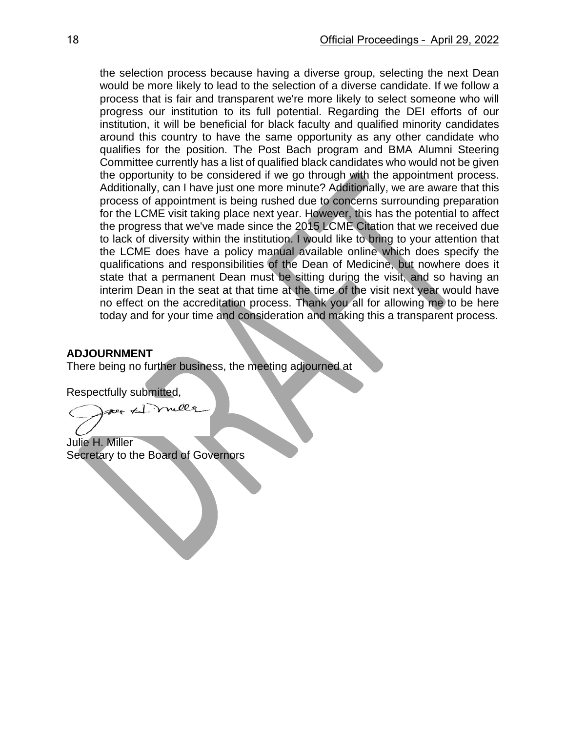the selection process because having a diverse group, selecting the next Dean would be more likely to lead to the selection of a diverse candidate. If we follow a process that is fair and transparent we're more likely to select someone who will progress our institution to its full potential. Regarding the DEI efforts of our institution, it will be beneficial for black faculty and qualified minority candidates around this country to have the same opportunity as any other candidate who qualifies for the position. The Post Bach program and BMA Alumni Steering Committee currently has a list of qualified black candidates who would not be given the opportunity to be considered if we go through with the appointment process. Additionally, can I have just one more minute? Additionally, we are aware that this process of appointment is being rushed due to concerns surrounding preparation for the LCME visit taking place next year. However, this has the potential to affect the progress that we've made since the 2015 LCME Citation that we received due to lack of diversity within the institution. I would like to bring to your attention that the LCME does have a policy manual available online which does specify the qualifications and responsibilities of the Dean of Medicine, but nowhere does it state that a permanent Dean must be sitting during the visit, and so having an interim Dean in the seat at that time at the time of the visit next year would have no effect on the accreditation process. Thank you all for allowing me to be here today and for your time and consideration and making this a transparent process.

#### **ADJOURNMENT**

There being no further business, the meeting adjourned at

Respectfully submitted,

per #1 meller

Julie H. Miller Secretary to the Board of Governors